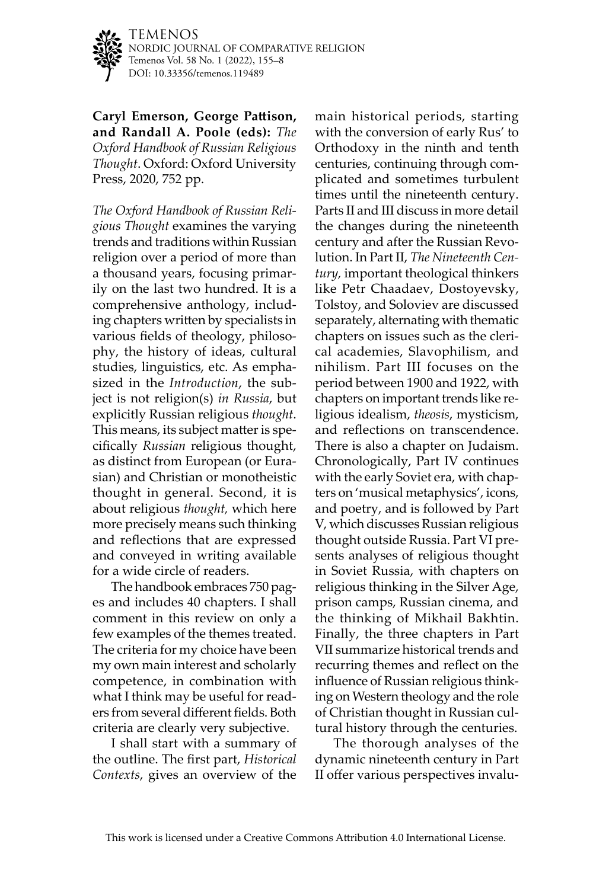

TEMENOS NORDIC JOURNAL OF COMPARATIVE RELIGION Temenos Vol. 58 No. 1 (2022), 155–8 DOI: [10.33356/temenos.119489](http://doi.org/10.33356/temenos.119489)

**Caryl Emerson, George Pattison, and Randall A. Poole (eds):** *The Oxford Handbook of Russian Religious Thought*. Oxford: Oxford University Press, 2020, 752 pp.

*The Oxford Handbook of Russian Religious Thought* examines the varying trends and traditions within Russian religion over a period of more than a thousand years, focusing primarily on the last two hundred. It is a comprehensive anthology, including chapters written by specialists in various fields of theology, philosophy, the history of ideas, cultural studies, linguistics, etc. As emphasized in the *Introduction*, the subject is not religion(s) *in Russia*, but explicitly Russian religious *thought*. This means, its subject matter is specifically *Russian* religious thought, as distinct from European (or Eurasian) and Christian or monotheistic thought in general. Second, it is about religious *thought,* which here more precisely means such thinking and reflections that are expressed and conveyed in writing available for a wide circle of readers.

The handbook embraces 750 pages and includes 40 chapters. I shall comment in this review on only a few examples of the themes treated. The criteria for my choice have been my own main interest and scholarly competence, in combination with what I think may be useful for readers from several different fields. Both criteria are clearly very subjective.

I shall start with a summary of the outline. The first part, *Historical Contexts*, gives an overview of the main historical periods, starting with the conversion of early Rus' to Orthodoxy in the ninth and tenth centuries, continuing through complicated and sometimes turbulent times until the nineteenth century. Parts II and III discuss in more detail the changes during the nineteenth century and after the Russian Revolution. In Part II, *The Nineteenth Century,* important theological thinkers like Petr Chaadaev, Dostoyevsky, Tolstoy, and Soloviev are discussed separately, alternating with thematic chapters on issues such as the clerical academies, Slavophilism, and nihilism. Part III focuses on the period between 1900 and 1922, with chapters on important trends like religious idealism, *theosis*, mysticism, and reflections on transcendence. There is also a chapter on Judaism. Chronologically, Part IV continues with the early Soviet era, with chapters on 'musical metaphysics', icons, and poetry, and is followed by Part V, which discusses Russian religious thought outside Russia. Part VI presents analyses of religious thought in Soviet Russia, with chapters on religious thinking in the Silver Age, prison camps, Russian cinema, and the thinking of Mikhail Bakhtin. Finally, the three chapters in Part VII summarize historical trends and recurring themes and reflect on the influence of Russian religious thinking on Western theology and the role of Christian thought in Russian cultural history through the centuries.

The thorough analyses of the dynamic nineteenth century in Part II offer various perspectives invalu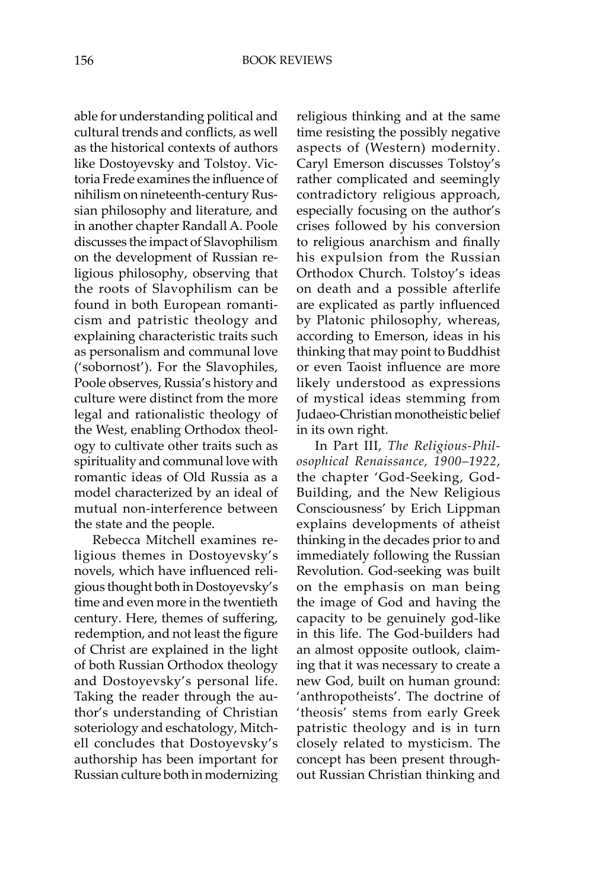able for understanding political and cultural trends and conflicts, as well as the historical contexts of authors like Dostoyevsky and Tolstoy. Victoria Frede examines the influence of nihilism on nineteenth-century Russian philosophy and literature, and in another chapter Randall A. Poole discusses the impact of Slavophilism on the development of Russian religious philosophy, observing that the roots of Slavophilism can be found in both European romanticism and patristic theology and explaining characteristic traits such as personalism and communal love ('sobornost'). For the Slavophiles, Poole observes, Russia's history and culture were distinct from the more legal and rationalistic theology of the West, enabling Orthodox theology to cultivate other traits such as spirituality and communal love with romantic ideas of Old Russia as a model characterized by an ideal of mutual non-interference between the state and the people.

Rebecca Mitchell examines religious themes in Dostoyevsky's novels, which have influenced religious thought both in Dostoyevsky's time and even more in the twentieth century. Here, themes of suffering, redemption, and not least the figure of Christ are explained in the light of both Russian Orthodox theology and Dostoyevsky's personal life. Taking the reader through the author's understanding of Christian soteriology and eschatology, Mitchell concludes that Dostoyevsky's authorship has been important for Russian culture both in modernizing religious thinking and at the same time resisting the possibly negative aspects of (Western) modernity. Caryl Emerson discusses Tolstoy's rather complicated and seemingly contradictory religious approach, especially focusing on the author's crises followed by his conversion to religious anarchism and finally his expulsion from the Russian Orthodox Church. Tolstoy's ideas on death and a possible afterlife are explicated as partly influenced by Platonic philosophy, whereas, according to Emerson, ideas in his thinking that may point to Buddhist or even Taoist influence are more likely understood as expressions of mystical ideas stemming from Judaeo-Christian monotheistic belief in its own right.

In Part III, *The Religious-Philosophical Renaissance, 1900–1922*, the chapter 'God-Seeking, God-Building, and the New Religious Consciousness' by Erich Lippman explains developments of atheist thinking in the decades prior to and immediately following the Russian Revolution. God-seeking was built on the emphasis on man being the image of God and having the capacity to be genuinely god-like in this life. The God-builders had an almost opposite outlook, claiming that it was necessary to create a new God, built on human ground: 'anthropotheists'. The doctrine of 'theosis' stems from early Greek patristic theology and is in turn closely related to mysticism. The concept has been present throughout Russian Christian thinking and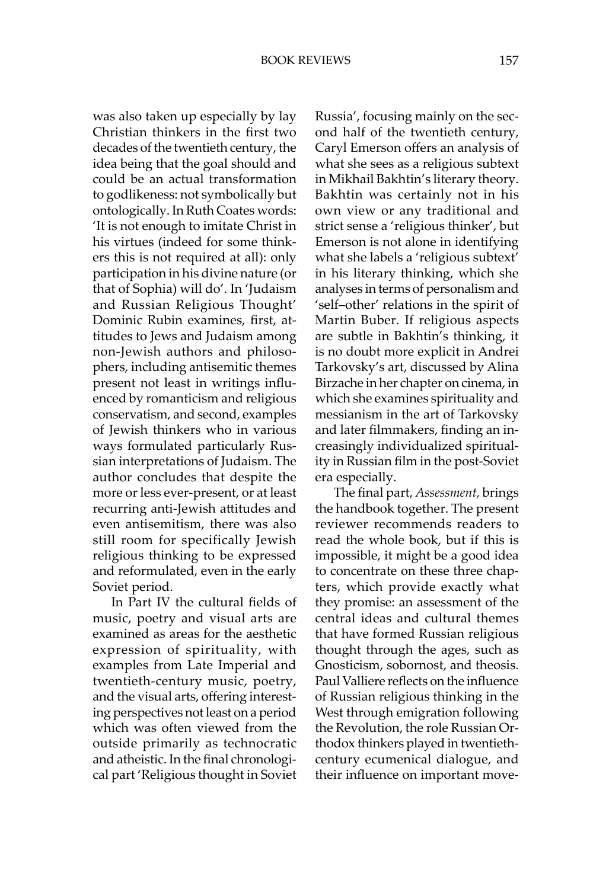was also taken up especially by lay Christian thinkers in the first two decades of the twentieth century, the idea being that the goal should and could be an actual transformation to godlikeness: not symbolically but ontologically. In Ruth Coates words: 'It is not enough to imitate Christ in his virtues (indeed for some thinkers this is not required at all): only participation in his divine nature (or that of Sophia) will do'. In 'Judaism and Russian Religious Thought' Dominic Rubin examines, first, attitudes to Jews and Judaism among non-Jewish authors and philosophers, including antisemitic themes present not least in writings influenced by romanticism and religious conservatism, and second, examples of Jewish thinkers who in various ways formulated particularly Russian interpretations of Judaism. The author concludes that despite the more or less ever-present, or at least recurring anti-Jewish attitudes and even antisemitism, there was also still room for specifically Jewish religious thinking to be expressed and reformulated, even in the early Soviet period.

In Part IV the cultural fields of music, poetry and visual arts are examined as areas for the aesthetic expression of spirituality, with examples from Late Imperial and twentieth-century music, poetry, and the visual arts, offering interesting perspectives not least on a period which was often viewed from the outside primarily as technocratic and atheistic. In the final chronological part 'Religious thought in Soviet Russia', focusing mainly on the second half of the twentieth century, Caryl Emerson offers an analysis of what she sees as a religious subtext in Mikhail Bakhtin's literary theory. Bakhtin was certainly not in his own view or any traditional and strict sense a 'religious thinker', but Emerson is not alone in identifying what she labels a 'religious subtext' in his literary thinking, which she analyses in terms of personalism and 'self–other' relations in the spirit of Martin Buber. If religious aspects are subtle in Bakhtin's thinking, it is no doubt more explicit in Andrei Tarkovsky's art, discussed by Alina Birzache in her chapter on cinema, in which she examines spirituality and messianism in the art of Tarkovsky and later filmmakers, finding an increasingly individualized spirituality in Russian film in the post-Soviet era especially.

The final part, *Assessment,* brings the handbook together. The present reviewer recommends readers to read the whole book, but if this is impossible, it might be a good idea to concentrate on these three chapters, which provide exactly what they promise: an assessment of the central ideas and cultural themes that have formed Russian religious thought through the ages, such as Gnosticism, sobornost, and theosis. Paul Valliere reflects on the influence of Russian religious thinking in the West through emigration following the Revolution, the role Russian Orthodox thinkers played in twentiethcentury ecumenical dialogue, and their influence on important move